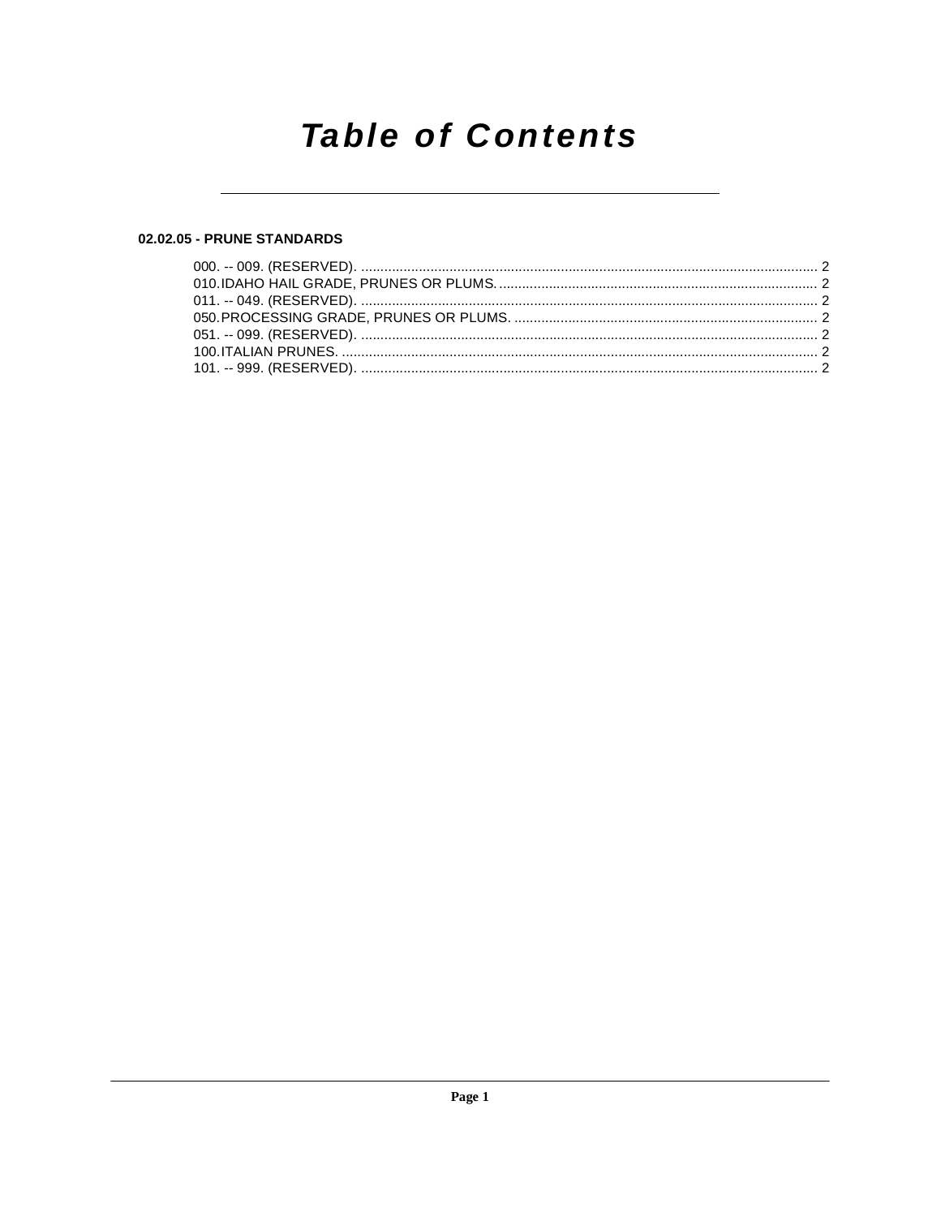## **Table of Contents**

### 02.02.05 - PRUNE STANDARDS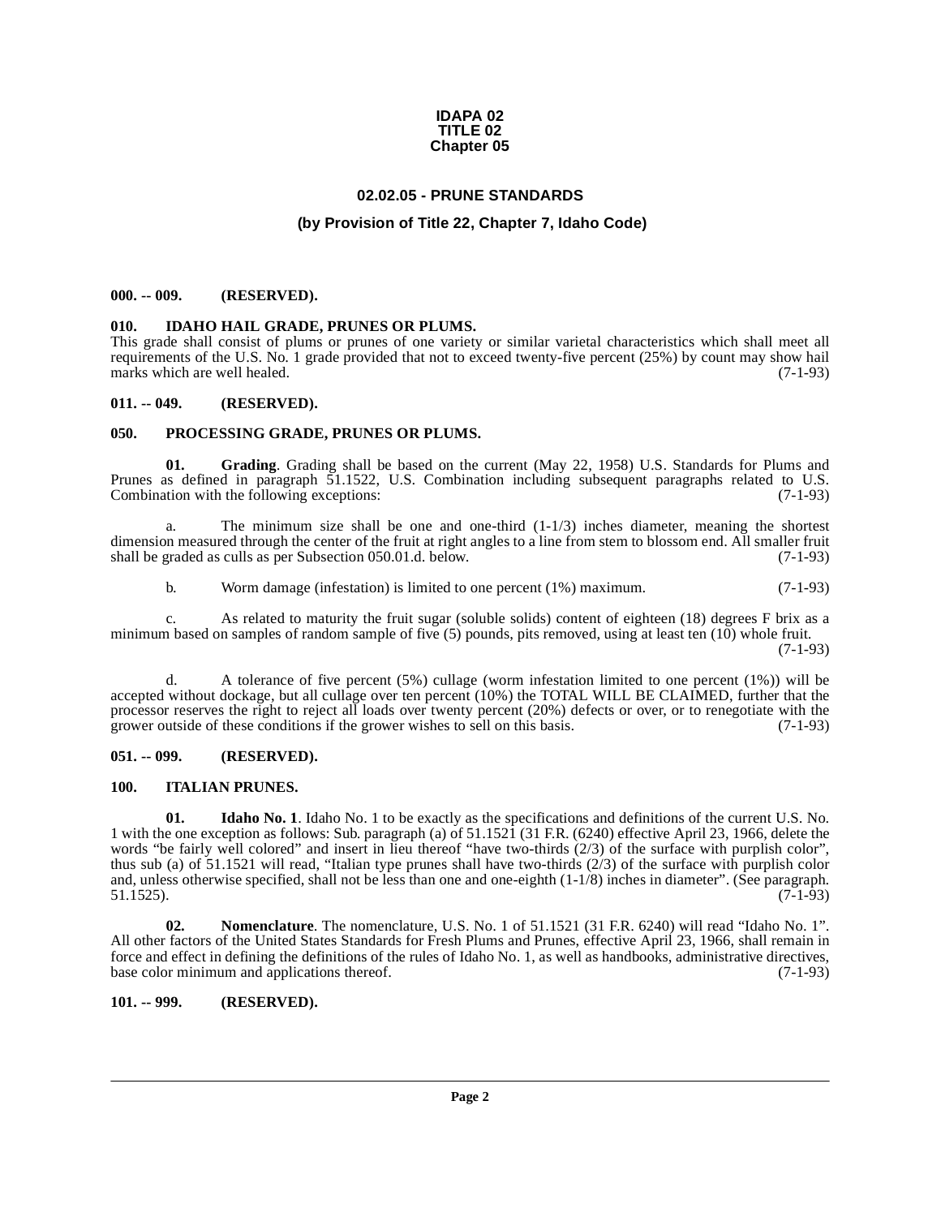#### **IDAPA 02 TITLE 02 Chapter 05**

#### **02.02.05 - PRUNE STANDARDS**

#### **(by Provision of Title 22, Chapter 7, Idaho Code)**

#### <span id="page-1-1"></span><span id="page-1-0"></span>**000. -- 009. (RESERVED).**

#### <span id="page-1-9"></span><span id="page-1-2"></span>**010. IDAHO HAIL GRADE, PRUNES OR PLUMS.**

This grade shall consist of plums or prunes of one variety or similar varietal characteristics which shall meet all requirements of the U.S. No. 1 grade provided that not to exceed twenty-five percent (25%) by count may show hail marks which are well healed. (7-1-93) marks which are well healed.

#### <span id="page-1-3"></span>**011. -- 049. (RESERVED).**

#### <span id="page-1-13"></span><span id="page-1-4"></span>**050. PROCESSING GRADE, PRUNES OR PLUMS.**

<span id="page-1-8"></span>**01. Grading**. Grading shall be based on the current (May 22, 1958) U.S. Standards for Plums and Prunes as defined in paragraph 51.1522, U.S. Combination including subsequent paragraphs related to U.S. Combination with the following exceptions: (7-1-93)

a. The minimum size shall be one and one-third  $(1-1/3)$  inches diameter, meaning the shortest dimension measured through the center of the fruit at right angles to a line from stem to blossom end. All smaller fruit shall be graded as culls as per Subsection 050.01.d. below. (7-1-93) shall be graded as culls as per Subsection 050.01.d. below.

b. Worm damage (infestation) is limited to one percent (1%) maximum. (7-1-93)

c. As related to maturity the fruit sugar (soluble solids) content of eighteen (18) degrees F brix as a minimum based on samples of random sample of five  $(5)$  pounds, pits removed, using at least ten  $(10)$  whole fruit. (7-1-93)

d. A tolerance of five percent (5%) cullage (worm infestation limited to one percent (1%)) will be accepted without dockage, but all cullage over ten percent (10%) the TOTAL WILL BE CLAIMED, further that the processor reserves the right to reject all loads over twenty percent (20%) defects or over, or to renegotiate with the grower outside of these conditions if the grower wishes to sell on this basis. (7-1-93) grower outside of these conditions if the grower wishes to sell on this basis.

#### <span id="page-1-5"></span>**051. -- 099. (RESERVED).**

#### <span id="page-1-11"></span><span id="page-1-6"></span>**100. ITALIAN PRUNES.**

<span id="page-1-10"></span>**01. Idaho No. 1**. Idaho No. 1 to be exactly as the specifications and definitions of the current U.S. No. 1 with the one exception as follows: Sub. paragraph (a) of 51.1521 (31 F.R. (6240) effective April 23, 1966, delete the words "be fairly well colored" and insert in lieu thereof "have two-thirds (2/3) of the surface with purplish color", thus sub (a) of  $51.1521$  will read, "Italian type prunes shall have two-thirds ( $2/3$ ) of the surface with purplish color and, unless otherwise specified, shall not be less than one and one-eighth (1-1/8) inches in diameter". (See paragraph. 51.1525). (7-1-93)  $51.1525$ ). (7-1-93)

<span id="page-1-12"></span>**02. Nomenclature**. The nomenclature, U.S. No. 1 of 51.1521 (31 F.R. 6240) will read "Idaho No. 1". All other factors of the United States Standards for Fresh Plums and Prunes, effective April 23, 1966, shall remain in force and effect in defining the definitions of the rules of Idaho No. 1, as well as handbooks, administrative directives, base color minimum and applications thereof. (7-1-93)

<span id="page-1-7"></span>**101. -- 999. (RESERVED).**